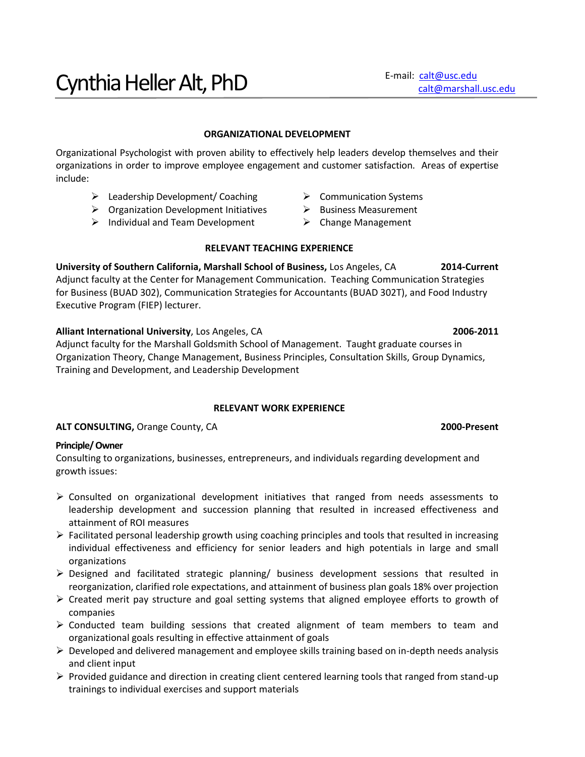#### **ORGANIZATIONAL DEVELOPMENT**

Organizational Psychologist with proven ability to effectively help leaders develop themselves and their organizations in order to improve employee engagement and customer satisfaction. Areas of expertise include:

- > Leadership Development/ Coaching > Communication Systems
- $\triangleright$  Organization Development Initiatives  $\triangleright$  Business Measurement
- $\triangleright$  Individual and Team Development  $\triangleright$  Change Management
- 
- -

# **RELEVANT TEACHING EXPERIENCE**

**University of Southern California, Marshall School of Business,** Los Angeles, CA **2014-Current** Adjunct faculty at the Center for Management Communication. Teaching Communication Strategies for Business (BUAD 302), Communication Strategies for Accountants (BUAD 302T), and Food Industry Executive Program (FIEP) lecturer.

**Alliant International University**, Los Angeles, CA **2006-2011**

Adjunct faculty for the Marshall Goldsmith School of Management. Taught graduate courses in Organization Theory, Change Management, Business Principles, Consultation Skills, Group Dynamics, Training and Development, and Leadership Development

# **RELEVANT WORK EXPERIENCE**

**ALT CONSULTING,** Orange County, CA **2000-Present**

#### **Principle/ Owner**

Consulting to organizations, businesses, entrepreneurs, and individuals regarding development and growth issues:

- $\triangleright$  Consulted on organizational development initiatives that ranged from needs assessments to leadership development and succession planning that resulted in increased effectiveness and attainment of ROI measures
- $\triangleright$  Facilitated personal leadership growth using coaching principles and tools that resulted in increasing individual effectiveness and efficiency for senior leaders and high potentials in large and small organizations
- $\triangleright$  Designed and facilitated strategic planning/ business development sessions that resulted in reorganization, clarified role expectations, and attainment of business plan goals 18% over projection
- $\triangleright$  Created merit pay structure and goal setting systems that aligned employee efforts to growth of companies
- $\triangleright$  Conducted team building sessions that created alignment of team members to team and organizational goals resulting in effective attainment of goals
- $\triangleright$  Developed and delivered management and employee skills training based on in-depth needs analysis and client input
- $\triangleright$  Provided guidance and direction in creating client centered learning tools that ranged from stand-up trainings to individual exercises and support materials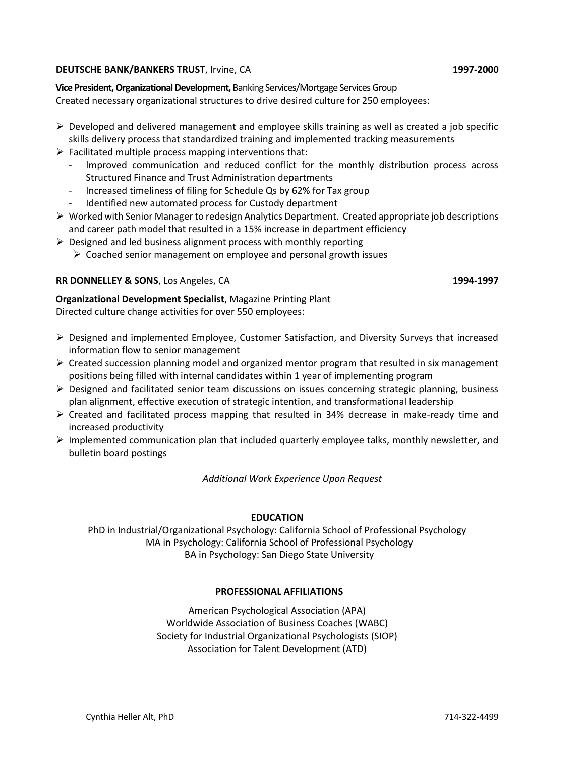#### **DEUTSCHE BANK/BANKERS TRUST**, Irvine, CA **1997-2000**

**Vice President, Organizational Development,** Banking Services/Mortgage Services Group

Created necessary organizational structures to drive desired culture for 250 employees:

- $\triangleright$  Developed and delivered management and employee skills training as well as created a job specific skills delivery process that standardized training and implemented tracking measurements
- $\triangleright$  Facilitated multiple process mapping interventions that:
	- Improved communication and reduced conflict for the monthly distribution process across Structured Finance and Trust Administration departments
	- Increased timeliness of filing for Schedule Qs by 62% for Tax group
	- Identified new automated process for Custody department
- $\triangleright$  Worked with Senior Manager to redesign Analytics Department. Created appropriate job descriptions and career path model that resulted in a 15% increase in department efficiency
- $\triangleright$  Designed and led business alignment process with monthly reporting
	- $\triangleright$  Coached senior management on employee and personal growth issues

# **RR DONNELLEY & SONS**, Los Angeles, CA **1994-1997**

**Organizational Development Specialist**, Magazine Printing Plant Directed culture change activities for over 550 employees:

- $\triangleright$  Designed and implemented Employee, Customer Satisfaction, and Diversity Surveys that increased information flow to senior management
- $\triangleright$  Created succession planning model and organized mentor program that resulted in six management positions being filled with internal candidates within 1 year of implementing program
- $\triangleright$  Designed and facilitated senior team discussions on issues concerning strategic planning, business plan alignment, effective execution of strategic intention, and transformational leadership
- $\triangleright$  Created and facilitated process mapping that resulted in 34% decrease in make-ready time and increased productivity
- $\triangleright$  Implemented communication plan that included quarterly employee talks, monthly newsletter, and bulletin board postings

*Additional Work Experience Upon Request*

# **EDUCATION**

PhD in Industrial/Organizational Psychology: California School of Professional Psychology MA in Psychology: California School of Professional Psychology BA in Psychology: San Diego State University

# **PROFESSIONAL AFFILIATIONS**

American Psychological Association (APA) Worldwide Association of Business Coaches (WABC) Society for Industrial Organizational Psychologists (SIOP) Association for Talent Development (ATD)